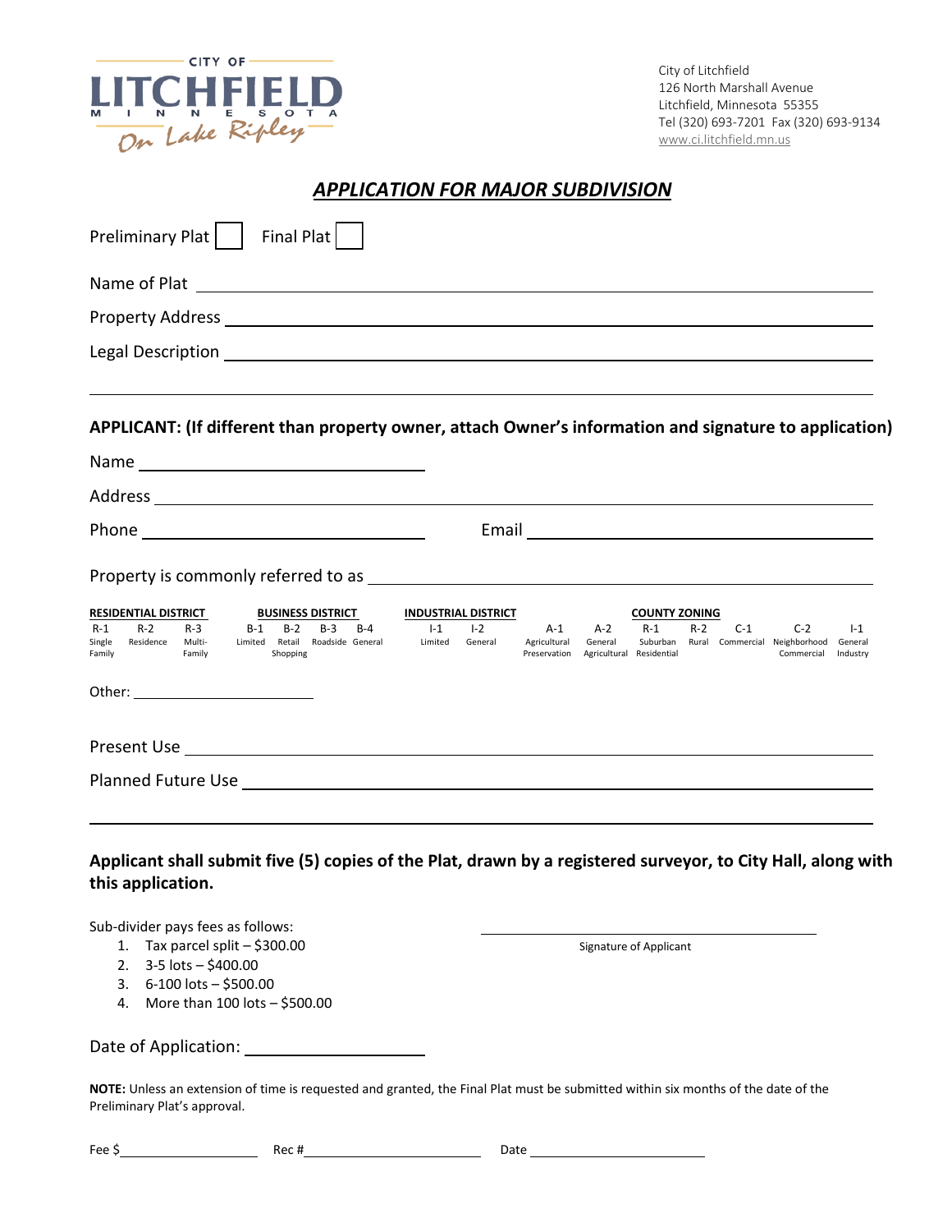

City of Litchfield 126 North Marshall Avenue Litchfield, Minnesota 55355 Tel (320) 693-7201 Fax (320) 693-9134 [www.ci.litchfield.mn.us](http://www.ci.litchfield.mn.us/)

## *APPLICATION FOR MAJOR SUBDIVISION*

| Preliminary Plat     Final Plat                                                                                                                                                                                                |                                                                                                                 |
|--------------------------------------------------------------------------------------------------------------------------------------------------------------------------------------------------------------------------------|-----------------------------------------------------------------------------------------------------------------|
|                                                                                                                                                                                                                                |                                                                                                                 |
|                                                                                                                                                                                                                                |                                                                                                                 |
|                                                                                                                                                                                                                                |                                                                                                                 |
| APPLICANT: (If different than property owner, attach Owner's information and signature to application)                                                                                                                         |                                                                                                                 |
|                                                                                                                                                                                                                                |                                                                                                                 |
|                                                                                                                                                                                                                                |                                                                                                                 |
|                                                                                                                                                                                                                                | Email experience and the series of the series of the series of the series of the series of the series of the s  |
| <b>RESIDENTIAL DISTRICT</b><br><b>BUSINESS DISTRICT</b><br><b>INDUSTRIAL DISTRICT</b><br>$R-2$<br>$I-1$<br>$1-2$<br>$R-1$<br>$R-3$<br>$B-1$<br>$B-2$<br>$B-3$<br>$B-4$<br>A-1                                                  | <b>COUNTY ZONING</b><br>$A-2$<br>$R-1$<br>$R-2$<br>$C-1$<br>$C-2$<br>$1-1$                                      |
| Limited General<br>Residence Multi-<br>Limited Retail Roadside General<br>Single<br>Agricultural<br>Shopping<br>Preservation<br>Family<br>Family                                                                               | Suburban Rural Commercial Neighborhood<br>General<br>General<br>Agricultural Residential<br>Commercial Industry |
| Present Use contract the contract of the contract of the contract of the contract of the contract of the contract of the contract of the contract of the contract of the contract of the contract of the contract of the contr |                                                                                                                 |
|                                                                                                                                                                                                                                |                                                                                                                 |
| Applicant shall submit five (5) copies of the Plat, drawn by a registered surveyor, to City Hall, along with<br>this application.<br>Sub-divider pays fees as follows:                                                         |                                                                                                                 |
| Tax parcel split - \$300.00<br>1.<br>3-5 lots - \$400.00<br>2.<br>6-100 lots - \$500.00<br>3.<br>4. More than 100 lots - \$500.00                                                                                              | Signature of Applicant                                                                                          |
| Date of Application:                                                                                                                                                                                                           |                                                                                                                 |
| NOTE: Unless an extension of time is requested and granted, the Final Plat must be submitted within six months of the date of the                                                                                              |                                                                                                                 |

ne is requested and granted, the Final Plat must be submitted within six months of the date of the the the the t<br>. Preliminary Plat's approval.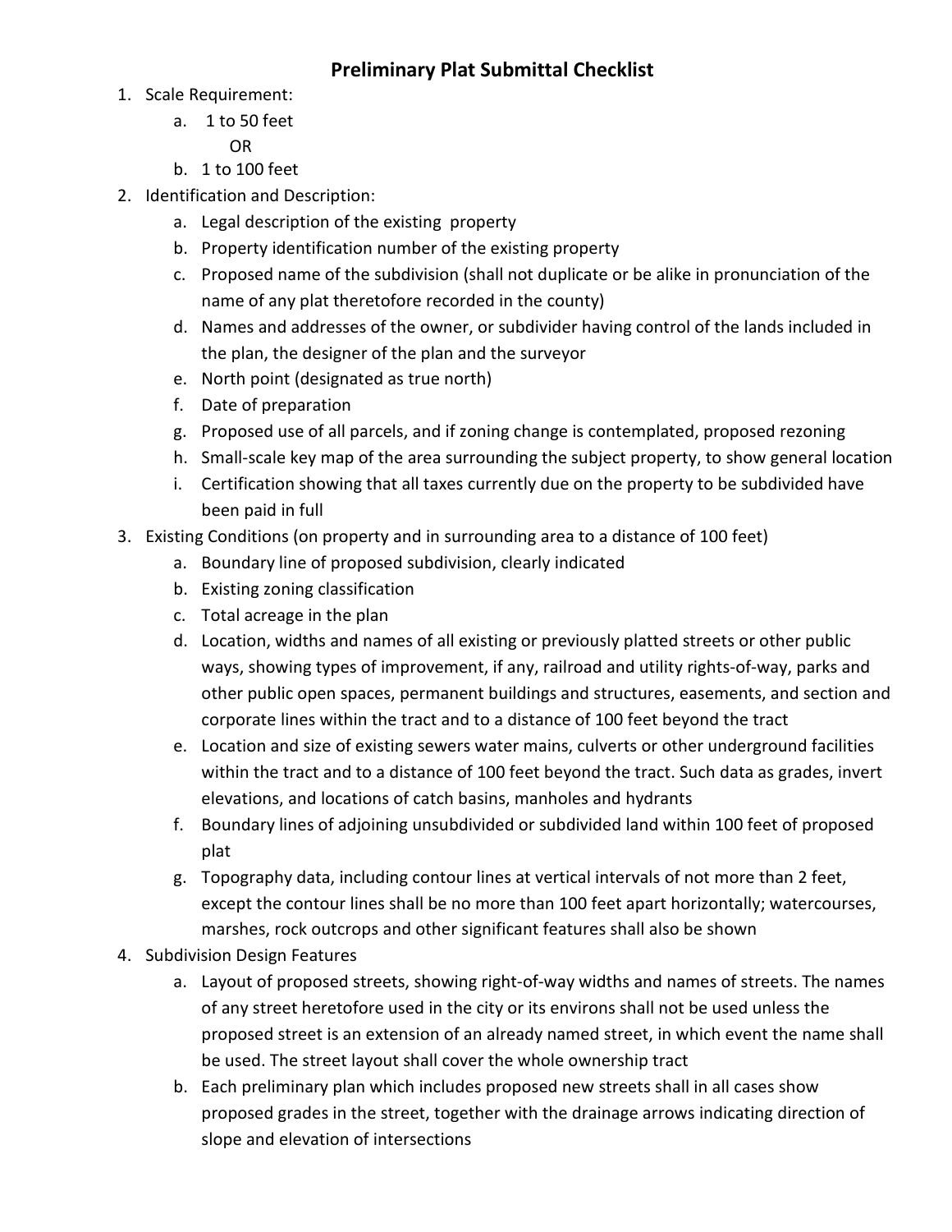## **Preliminary Plat Submittal Checklist**

- 1. Scale Requirement:
	- a. 1 to 50 feet

OR

- b. 1 to 100 feet
- 2. Identification and Description:
	- a. Legal description of the existing property
	- b. Property identification number of the existing property
	- c. Proposed name of the subdivision (shall not duplicate or be alike in pronunciation of the name of any plat theretofore recorded in the county)
	- d. Names and addresses of the owner, or subdivider having control of the lands included in the plan, the designer of the plan and the surveyor
	- e. North point (designated as true north)
	- f. Date of preparation
	- g. Proposed use of all parcels, and if zoning change is contemplated, proposed rezoning
	- h. Small-scale key map of the area surrounding the subject property, to show general location
	- i. Certification showing that all taxes currently due on the property to be subdivided have been paid in full
- 3. Existing Conditions (on property and in surrounding area to a distance of 100 feet)
	- a. Boundary line of proposed subdivision, clearly indicated
	- b. Existing zoning classification
	- c. Total acreage in the plan
	- d. Location, widths and names of all existing or previously platted streets or other public ways, showing types of improvement, if any, railroad and utility rights-of-way, parks and other public open spaces, permanent buildings and structures, easements, and section and corporate lines within the tract and to a distance of 100 feet beyond the tract
	- e. Location and size of existing sewers water mains, culverts or other underground facilities within the tract and to a distance of 100 feet beyond the tract. Such data as grades, invert elevations, and locations of catch basins, manholes and hydrants
	- f. Boundary lines of adjoining unsubdivided or subdivided land within 100 feet of proposed plat
	- g. Topography data, including contour lines at vertical intervals of not more than 2 feet, except the contour lines shall be no more than 100 feet apart horizontally; watercourses, marshes, rock outcrops and other significant features shall also be shown
- 4. Subdivision Design Features
	- a. Layout of proposed streets, showing right-of-way widths and names of streets. The names of any street heretofore used in the city or its environs shall not be used unless the proposed street is an extension of an already named street, in which event the name shall be used. The street layout shall cover the whole ownership tract
	- b. Each preliminary plan which includes proposed new streets shall in all cases show proposed grades in the street, together with the drainage arrows indicating direction of slope and elevation of intersections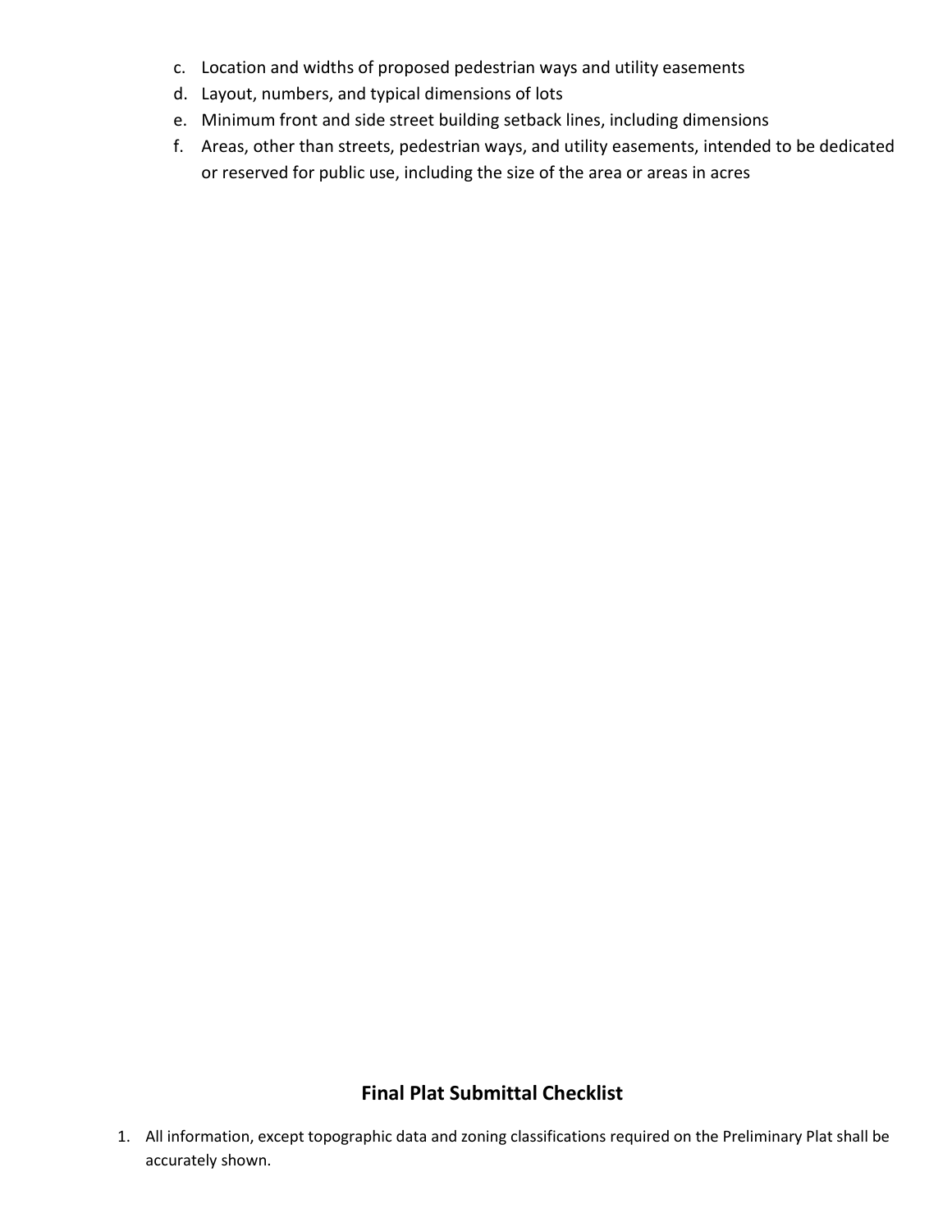- c. Location and widths of proposed pedestrian ways and utility easements
- d. Layout, numbers, and typical dimensions of lots
- e. Minimum front and side street building setback lines, including dimensions
- f. Areas, other than streets, pedestrian ways, and utility easements, intended to be dedicated or reserved for public use, including the size of the area or areas in acres

## **Final Plat Submittal Checklist**

1. All information, except topographic data and zoning classifications required on the Preliminary Plat shall be accurately shown.